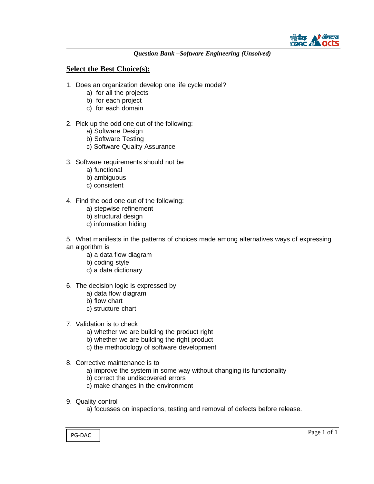

## **Select the Best Choice(s):**

- 1. Does an organization develop one life cycle model?
	- a) for all the projects
	- b) for each project
	- c) for each domain

#### 2. Pick up the odd one out of the following:

- a) Software Design
- b) Software Testing
- c) Software Quality Assurance
- 3. Software requirements should not be
	- a) functional
	- b) ambiguous
	- c) consistent
- 4. Find the odd one out of the following:
	- a) stepwise refinement
	- b) structural design
	- c) information hiding

5. What manifests in the patterns of choices made among alternatives ways of expressing an algorithm is

- a) a data flow diagram
- b) coding style
- c) a data dictionary
- 6. The decision logic is expressed by
	- a) data flow diagram
	- b) flow chart
	- c) structure chart
- 7. Validation is to check
	- a) whether we are building the product right
	- b) whether we are building the right product
	- c) the methodology of software development
- 8. Corrective maintenance is to
	- a) improve the system in some way without changing its functionality
	- b) correct the undiscovered errors
	- c) make changes in the environment
- 9. Quality control

a) focusses on inspections, testing and removal of defects before release.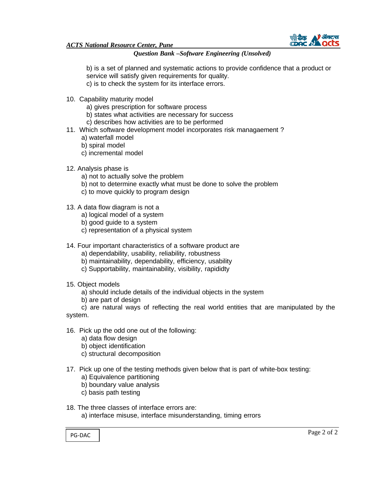

### *Question Bank –Software Engineering (Unsolved)*

b) is a set of planned and systematic actions to provide confidence that a product or service will satisfy given requirements for quality.

- c) is to check the system for its interface errors.
- 10. Capability maturity model
	- a) gives prescription for software process
	- b) states what activities are necessary for success
	- c) describes how activities are to be performed
- 11. Which software development model incorporates risk managaement ?
	- a) waterfall model
	- b) spiral model
	- c) incremental model
- 12. Analysis phase is
	- a) not to actually solve the problem
	- b) not to determine exactly what must be done to solve the problem
	- c) to move quickly to program design
- 13. A data flow diagram is not a
	- a) logical model of a system
	- b) good guide to a system
	- c) representation of a physical system
- 14. Four important characteristics of a software product are
	- a) dependability, usability, reliability, robustness
	- b) maintainability, dependability, efficiency, usability
	- c) Supportability, maintainability, visibility, rapididty
- 15. Object models
	- a) should include details of the individual objects in the system
	- b) are part of design

c) are natural ways of reflecting the real world entities that are manipulated by the system.

- 16. Pick up the odd one out of the following:
	- a) data flow design
	- b) object identification
	- c) structural decomposition
- 17. Pick up one of the testing methods given below that is part of white-box testing:
	- a) Equivalence partitioning
	- b) boundary value analysis
	- c) basis path testing
- 18. The three classes of interface errors are: a) interface misuse, interface misunderstanding, timing errors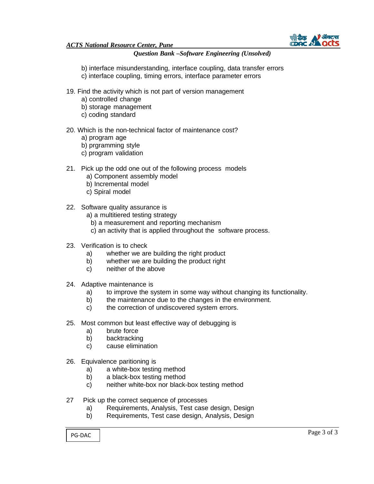

### *Question Bank –Software Engineering (Unsolved)*

b) interface misunderstanding, interface coupling, data transfer errors c) interface coupling, timing errors, interface parameter errors

- 19. Find the activity which is not part of version management
	- a) controlled change
	- b) storage management
	- c) coding standard
- 20. Which is the non-technical factor of maintenance cost?
	- a) program age
	- b) prgramming style
	- c) program validation
- 21. Pick up the odd one out of the following process models
	- a) Component assembly model
	- b) Incremental model
	- c) Spiral model
- 22. Software quality assurance is
	- a) a multitiered testing strategy
		- b) a measurement and reporting mechanism
		- c) an activity that is applied throughout the software process.
- 23. Verification is to check
	- a) whether we are building the right product
	- b) whether we are building the product right
	- c) neither of the above
- 24. Adaptive maintenance is
	- a) to improve the system in some way without changing its functionality.
	- b) the maintenance due to the changes in the environment.
	- c) the correction of undiscovered system errors.
- 25. Most common but least effective way of debugging is
	- a) brute force
	- b) backtracking
	- c) cause elimination
- 26. Equivalence paritioning is
	- a) a white-box testing method
	- b) a black-box testing method
	- c) neither white-box nor black-box testing method
- 27 Pick up the correct sequence of processes
	- a) Requirements, Analysis, Test case design, Design
	- b) Requirements, Test case design, Analysis, Design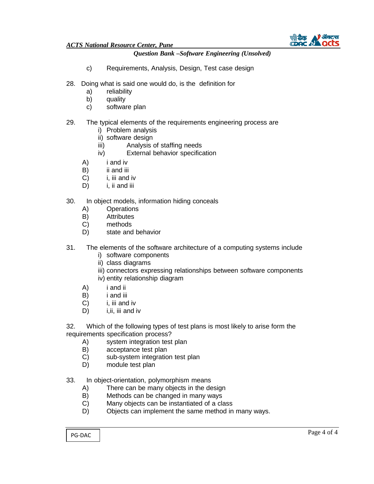



- c) Requirements, Analysis, Design, Test case design
- 28. Doing what is said one would do, is the definition for
	- a) reliability
	- b) quality
	- c) software plan

## 29. The typical elements of the requirements engineering process are

- i) Problem analysis
- ii) software design
- iii) Analysis of staffing needs
- iv) External behavior specification
- A) i and iv
- B) ii and iii
- C) i, iii and iv
- D) i, ii and iii

### 30. In object models, information hiding conceals

- A) Operations
- B) Attributes
- C) methods
- D) state and behavior
- 31. The elements of the software architecture of a computing systems include
	- i) software components
	- ii) class diagrams
	- iii) connectors expressing relationships between software components
	- iv) entity relationship diagram
	- A) i and ii
	- B) i and iii
	- C) i, iii and iv
	- D) i, ii, iii and iv

32. Which of the following types of test plans is most likely to arise form the requirements specification process?

- A) system integration test plan
- B) acceptance test plan
- C) sub-system integration test plan
- D) module test plan

33. In object-orientation, polymorphism means

- A) There can be many objects in the design
- B) Methods can be changed in many ways<br>C) Many objects can be instantiated of a cla
- Many objects can be instantiated of a class
- D) Objects can implement the same method in many ways.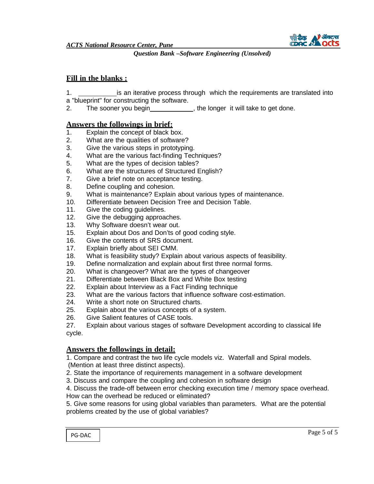

# **Fill in the blanks :**

- 1. **is an iterative process through which the requirements are translated into**
- a "blueprint" for constructing the software.
- 2. The sooner you begin help is the longer it will take to get done.

## **Answers the followings in brief:**

- 1. Explain the concept of black box.
- 2. What are the qualities of software?
- 3. Give the various steps in prototyping.
- 4. What are the various fact-finding Techniques?
- 5. What are the types of decision tables?
- 6. What are the structures of Structured English?
- 7. Give a brief note on acceptance testing.
- 8. Define coupling and cohesion.
- 9. What is maintenance? Explain about various types of maintenance.
- 10. Differentiate between Decision Tree and Decision Table.
- 11. Give the coding guidelines.
- 12. Give the debugging approaches.
- 13. Why Software doesn't wear out.
- 15. Explain about Dos and Don'ts of good coding style.
- 16. Give the contents of SRS document.
- 17. Explain briefly about SEI CMM.
- 18. What is feasibility study? Explain about various aspects of feasibility.
- 19. Define normalization and explain about first three normal forms.
- 20. What is changeover? What are the types of changeover
- 21. Differentiate between Black Box and White Box testing
- 22. Explain about Interview as a Fact Finding technique
- 23. What are the various factors that influence software cost-estimation.
- 24. Write a short note on Structured charts.
- 25. Explain about the various concepts of a system.
- 26. Give Salient features of CASE tools.

27. Explain about various stages of software Development according to classical life cycle.

## **Answers the followings in detail:**

1. Compare and contrast the two life cycle models viz. Waterfall and Spiral models. (Mention at least three distinct aspects).

- 2. State the importance of requirements management in a software development
- 3. Discuss and compare the coupling and cohesion in software design

4. Discuss the trade-off between error checking execution time / memory space overhead. How can the overhead be reduced or eliminated?

5. Give some reasons for using global variables than parameters. What are the potential problems created by the use of global variables?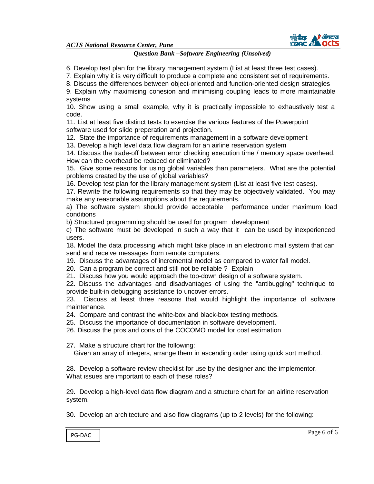

## *Question Bank –Software Engineering (Unsolved)*

6. Develop test plan for the library management system (List at least three test cases).

7. Explain why it is very difficult to produce a complete and consistent set of requirements.

8. Discuss the differences between object-oriented and function-oriented design strategies

9. Explain why maximising cohesion and minimising coupling leads to more maintainable systems

10. Show using a small example, why it is practically impossible to exhaustively test a code.

11. List at least five distinct tests to exercise the various features of the Powerpoint software used for slide preperation and projection.

12. State the importance of requirements management in a software development

13. Develop a high level data flow diagram for an airline reservation system

14. Discuss the trade-off between error checking execution time / memory space overhead. How can the overhead be reduced or eliminated?

15. Give some reasons for using global variables than parameters. What are the potential problems created by the use of global variables?

16. Develop test plan for the library management system (List at least five test cases).

17. Rewrite the following requirements so that they may be objectively validated. You may make any reasonable assumptions about the requirements.

a) The software system should provide acceptable performance under maximum load conditions

b) Structured programming should be used for program development

c) The software must be developed in such a way that it can be used by inexperienced users.

18. Model the data processing which might take place in an electronic mail system that can send and receive messages from remote computers.

19. Discuss the advantages of incremental model as compared to water fall model.

20. Can a program be correct and still not be reliable ? Explain

21. Discuss how you would approach the top-down design of a software system.

22. Discuss the advantages and disadvantages of using the "antibugging" technique to provide built-in debugging assistance to uncover errors.

23. Discuss at least three reasons that would highlight the importance of software maintenance.

24. Compare and contrast the white-box and black-box testing methods.

25. Discuss the importance of documentation in software development.

26. Discuss the pros and cons of the COCOMO model for cost estimation

27. Make a structure chart for the following:

Given an array of integers, arrange them in ascending order using quick sort method.

28. Develop a software review checklist for use by the designer and the implementor. What issues are important to each of these roles?

29. Develop a high-level data flow diagram and a structure chart for an airline reservation system.

30. Develop an architecture and also flow diagrams (up to 2 levels) for the following: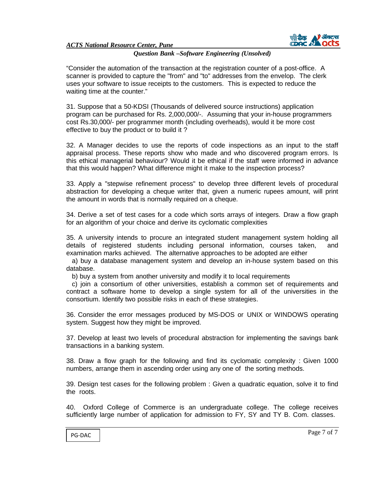

"Consider the automation of the transaction at the registration counter of a post-office. A scanner is provided to capture the "from" and "to" addresses from the envelop. The clerk uses your software to issue receipts to the customers. This is expected to reduce the waiting time at the counter."

31. Suppose that a 50-KDSI (Thousands of delivered source instructions) application program can be purchased for Rs. 2,000,000/-. Assuming that your in-house programmers cost Rs.30,000/- per programmer month (including overheads), would it be more cost effective to buy the product or to build it ?

32. A Manager decides to use the reports of code inspections as an input to the staff appraisal process. These reports show who made and who discovered program errors. Is this ethical managerial behaviour? Would it be ethical if the staff were informed in advance that this would happen? What difference might it make to the inspection process?

33. Apply a "stepwise refinement process" to develop three different levels of procedural abstraction for developing a cheque writer that, given a numeric rupees amount, will print the amount in words that is normally required on a cheque.

34. Derive a set of test cases for a code which sorts arrays of integers. Draw a flow graph for an algorithm of your choice and derive its cyclomatic complexities

35. A university intends to procure an integrated student management system holding all details of registered students including personal information, courses taken, and examination marks achieved. The alternative approaches to be adopted are either

a) buy a database management system and develop an in-house system based on this database.

b) buy a system from another university and modify it to local requirements

c) join a consortium of other universities, establish a common set of requirements and contract a software home to develop a single system for all of the universities in the consortium. Identify two possible risks in each of these strategies.

36. Consider the error messages produced by MS-DOS or UNIX or WINDOWS operating system. Suggest how they might be improved.

37. Develop at least two levels of procedural abstraction for implementing the savings bank transactions in a banking system.

38. Draw a flow graph for the following and find its cyclomatic complexity : Given 1000 numbers, arrange them in ascending order using any one of the sorting methods.

39. Design test cases for the following problem : Given a quadratic equation, solve it to find the roots.

40. Oxford College of Commerce is an undergraduate college. The college receives sufficiently large number of application for admission to FY, SY and TY B. Com. classes.